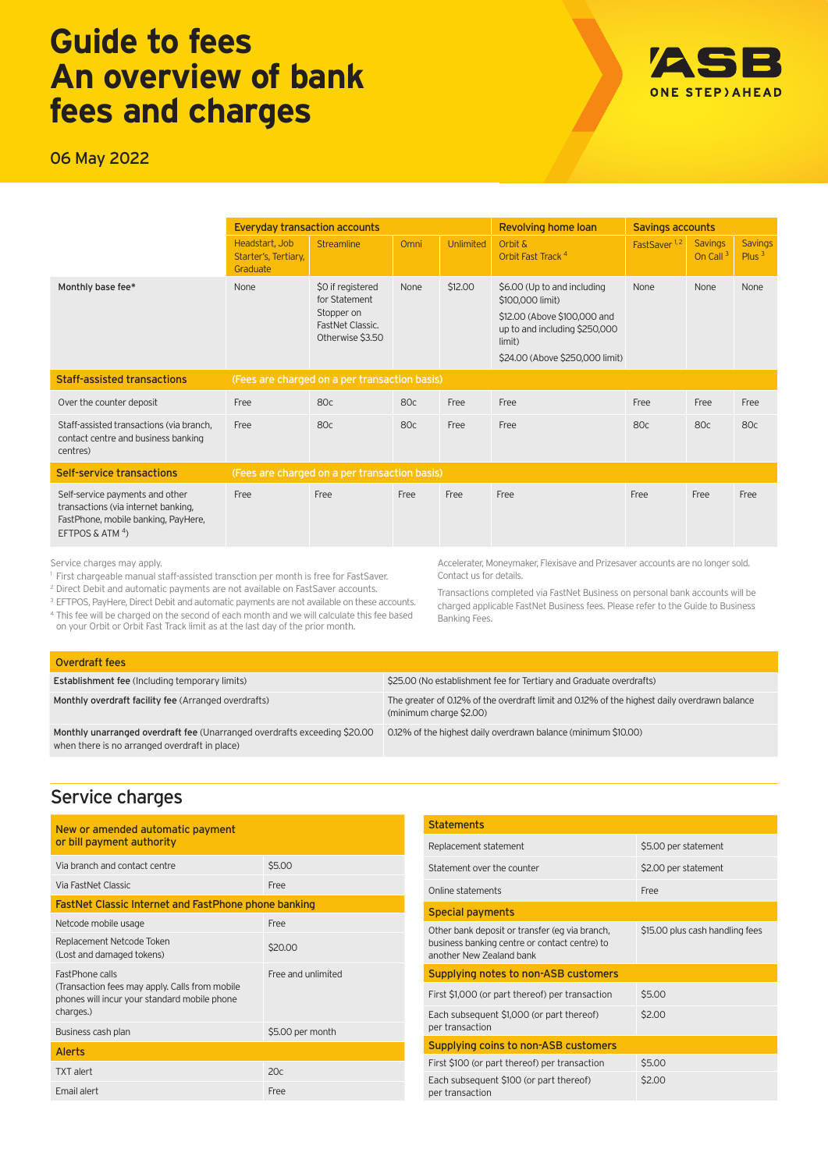# **Guide to fees An overview of bank fees and charges**

06 May 2022

|                                                                                                                                     | <b>Everyday transaction accounts</b>               |                                                                                          |             | <b>Revolving home loan</b> | <b>Savings accounts</b>                                                                                                                                       |                          |                                        |                            |
|-------------------------------------------------------------------------------------------------------------------------------------|----------------------------------------------------|------------------------------------------------------------------------------------------|-------------|----------------------------|---------------------------------------------------------------------------------------------------------------------------------------------------------------|--------------------------|----------------------------------------|----------------------------|
|                                                                                                                                     | Headstart, Job<br>Starter's, Tertiary,<br>Graduate | <b>Streamline</b>                                                                        | <b>Omni</b> | <b>Unlimited</b>           | Orbit &<br>Orbit Fast Track <sup>4</sup>                                                                                                                      | FastSaver <sup>1,2</sup> | <b>Savings</b><br>On Call <sup>3</sup> | <b>Savings</b><br>Plus $3$ |
| Monthly base fee*                                                                                                                   | None                                               | \$0 if registered<br>for Statement<br>Stopper on<br>FastNet Classic.<br>Otherwise \$3.50 | None        | \$12.00                    | \$6.00 (Up to and including<br>\$100,000 limit)<br>\$12.00 (Above \$100,000 and<br>up to and including \$250,000<br>limit)<br>\$24.00 (Above \$250,000 limit) | None                     | None                                   | None                       |
| <b>Staff-assisted transactions</b>                                                                                                  | (Fees are charged on a per transaction basis)      |                                                                                          |             |                            |                                                                                                                                                               |                          |                                        |                            |
| Over the counter deposit                                                                                                            | Free                                               | 80c                                                                                      | 80c         | Free                       | Free                                                                                                                                                          | Free                     | Free                                   | Free                       |
| Staff-assisted transactions (via branch,<br>contact centre and business banking<br>centres)                                         | Free                                               | 80c                                                                                      | 80c         | Free                       | Free                                                                                                                                                          | 80c                      | 80c                                    | 80c                        |
| Self-service transactions                                                                                                           |                                                    | (Fees are charged on a per transaction basis)                                            |             |                            |                                                                                                                                                               |                          |                                        |                            |
| Self-service payments and other<br>transactions (via internet banking,<br>FastPhone, mobile banking, PayHere,<br>EFTPOS & ATM $4$ ) | Free                                               | Free                                                                                     | Free        | Free                       | Free                                                                                                                                                          | Free                     | Free                                   | Free                       |

Service charges may apply.

1 First chargeable manual staff-assisted transction per month is free for FastSaver.

<sup>2</sup> Direct Debit and automatic payments are not available on FastSaver accounts.

<sup>3</sup> EFTPOS, PayHere, Direct Debit and automatic payments are not available on these accounts. 4 This fee will be charged on the second of each month and we will calculate this fee based on your Orbit or Orbit Fast Track limit as at the last day of the prior month.

Accelerater, Moneymaker, Flexisave and Prizesaver accounts are no longer sold. Contact us for details.

Transactions completed via FastNet Business on personal bank accounts will be charged applicable FastNet Business fees. Please refer to the Guide to Business Banking Fees.

| Overdraft fees                                                                                                             |                                                                                                                         |
|----------------------------------------------------------------------------------------------------------------------------|-------------------------------------------------------------------------------------------------------------------------|
| <b>Establishment fee (Including temporary limits)</b>                                                                      | \$25.00 (No establishment fee for Tertiary and Graduate overdrafts)                                                     |
| Monthly overdraft facility fee (Arranged overdrafts)                                                                       | The greater of 0.12% of the overdraft limit and 0.12% of the highest daily overdrawn balance<br>(minimum charge \$2.00) |
| Monthly unarranged overdraft fee (Unarranged overdrafts exceeding \$20.00<br>when there is no arranged overdraft in place) | 0.12% of the highest daily overdrawn balance (minimum \$10.00)                                                          |

### Service charges

| New or amended automatic payment<br>or bill payment authority                                                                          |                    |  |
|----------------------------------------------------------------------------------------------------------------------------------------|--------------------|--|
| Via branch and contact centre                                                                                                          | \$5.00             |  |
| Via FastNet Classic                                                                                                                    | Free               |  |
| <b>FastNet Classic Internet and FastPhone phone banking</b>                                                                            |                    |  |
| Netcode mobile usage                                                                                                                   | Free               |  |
| Replacement Netcode Token<br>(Lost and damaged tokens)                                                                                 | \$20,00            |  |
| <b>FastPhone calls</b><br>(Transaction fees may apply. Calls from mobile)<br>phones will incur your standard mobile phone<br>charges.) | Free and unlimited |  |
| Business cash plan                                                                                                                     | \$5.00 per month   |  |
| <b>Alerts</b>                                                                                                                          |                    |  |
| <b>TXT</b> alert                                                                                                                       | 20c                |  |
| Email alert                                                                                                                            | Free               |  |

| <b>Statements</b>                                                                                                           |                                 |  |
|-----------------------------------------------------------------------------------------------------------------------------|---------------------------------|--|
| Replacement statement                                                                                                       | \$5.00 per statement            |  |
| Statement over the counter                                                                                                  | \$2.00 per statement            |  |
| Online statements                                                                                                           | Free                            |  |
| <b>Special payments</b>                                                                                                     |                                 |  |
| Other bank deposit or transfer (eg via branch,<br>business banking centre or contact centre) to<br>another New Zealand bank | \$15.00 plus cash handling fees |  |
| Supplying notes to non-ASB customers                                                                                        |                                 |  |
| First \$1,000 (or part thereof) per transaction                                                                             | \$5.00                          |  |
| Each subsequent \$1,000 (or part thereof)<br>per transaction                                                                | \$2.00                          |  |
| Supplying coins to non-ASB customers                                                                                        |                                 |  |
| First \$100 (or part thereof) per transaction                                                                               | \$5.00                          |  |
| Each subsequent \$100 (or part thereof)<br>per transaction                                                                  | \$2.00                          |  |

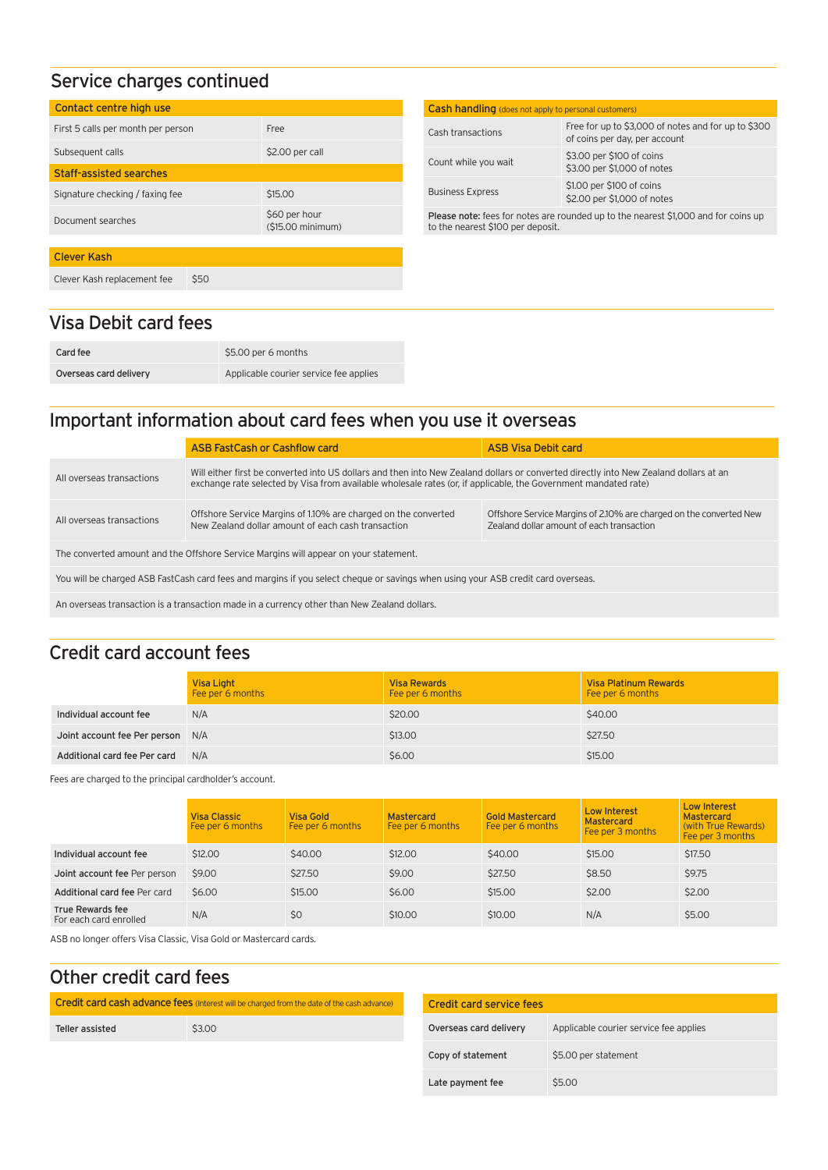## Service charges continued

| Contact centre high use                            |                                             |
|----------------------------------------------------|---------------------------------------------|
| First 5 calls per month per person                 | Free                                        |
| Subsequent calls<br><b>Staff-assisted searches</b> | \$2.00 per call                             |
| Signature checking / faxing fee                    | \$15,00                                     |
| Document searches                                  | \$60 per hour<br>$(515.00 \text{ minimum})$ |
|                                                    |                                             |
| Clever Kash                                        |                                             |
| \$50<br>Clever Kash replacement fee                |                                             |

## Visa Debit card fees

| Card fee               | \$5.00 per 6 months                    |
|------------------------|----------------------------------------|
| Overseas card delivery | Applicable courier service fee applies |

# Important information about card fees when you use it overseas

| Will either first be converted into US dollars and then into New Zealand dollars or converted directly into New Zealand dollars at an<br>exchange rate selected by Visa from available wholesale rates (or, if applicable, the Government mandated rate) |  |  |  |
|----------------------------------------------------------------------------------------------------------------------------------------------------------------------------------------------------------------------------------------------------------|--|--|--|
| Offshore Service Margins of 2.10% are charged on the converted New<br>Zealand dollar amount of each transaction                                                                                                                                          |  |  |  |
| The converted amount and the Offshore Service Margins will appear on your statement.                                                                                                                                                                     |  |  |  |
| You will be charged ASB FastCash card fees and margins if you select cheque or savings when using your ASB credit card overseas.                                                                                                                         |  |  |  |
| An overseas transaction is a transaction made in a currency other than New Zealand dollars.                                                                                                                                                              |  |  |  |
|                                                                                                                                                                                                                                                          |  |  |  |

# Credit card account fees

|                                  | Visa Light<br>Fee per 6 months | <b>Visa Rewards</b><br>Fee per 6 months | <b>Visa Platinum Rewards</b><br>Fee per 6 months |
|----------------------------------|--------------------------------|-----------------------------------------|--------------------------------------------------|
| Individual account fee           | N/A                            | \$20,00                                 | \$40,00                                          |
| Joint account fee Per person N/A |                                | \$13,00                                 | \$27.50                                          |
| Additional card fee Per card     | N/A                            | \$6.00                                  | \$15.00                                          |

Fees are charged to the principal cardholder's account.

|                                            | <b>Visa Classic</b><br>Fee per 6 months | Visa Gold<br>Fee per 6 months | <b>Mastercard</b><br>Fee per 6 months | <b>Gold Mastercard</b><br>Fee per 6 months | Low Interest<br><b>Mastercard</b><br>Fee per 3 months | Low Interest<br><b>Mastercard</b><br>(with True Rewards)<br>Fee per 3 months |
|--------------------------------------------|-----------------------------------------|-------------------------------|---------------------------------------|--------------------------------------------|-------------------------------------------------------|------------------------------------------------------------------------------|
| Individual account fee                     | \$12,00                                 | \$40.00                       | \$12,00                               | \$40.00                                    | \$15.00                                               | \$17.50                                                                      |
| Joint account fee Per person               | \$9.00                                  | \$27.50                       | \$9.00                                | \$27.50                                    | \$8.50                                                | \$9.75                                                                       |
| Additional card fee Per card               | \$6.00                                  | \$15.00                       | \$6.00                                | \$15.00                                    | \$2.00                                                | \$2.00                                                                       |
| True Rewards fee<br>For each card enrolled | N/A                                     | \$0                           | \$10.00                               | \$10.00                                    | N/A                                                   | \$5.00                                                                       |

ASB no longer offers Visa Classic, Visa Gold or Mastercard cards.

## Other credit card fees

| Credit card cash advance fees (Interest will be charged from the date of the cash advance) |        |  |
|--------------------------------------------------------------------------------------------|--------|--|
| Teller assisted                                                                            | \$3.00 |  |
|                                                                                            |        |  |

| Credit card service fees |                                        |  |  |
|--------------------------|----------------------------------------|--|--|
| Overseas card delivery   | Applicable courier service fee applies |  |  |
| Copy of statement        | \$5.00 per statement                   |  |  |
| Late payment fee         | \$5.00                                 |  |  |